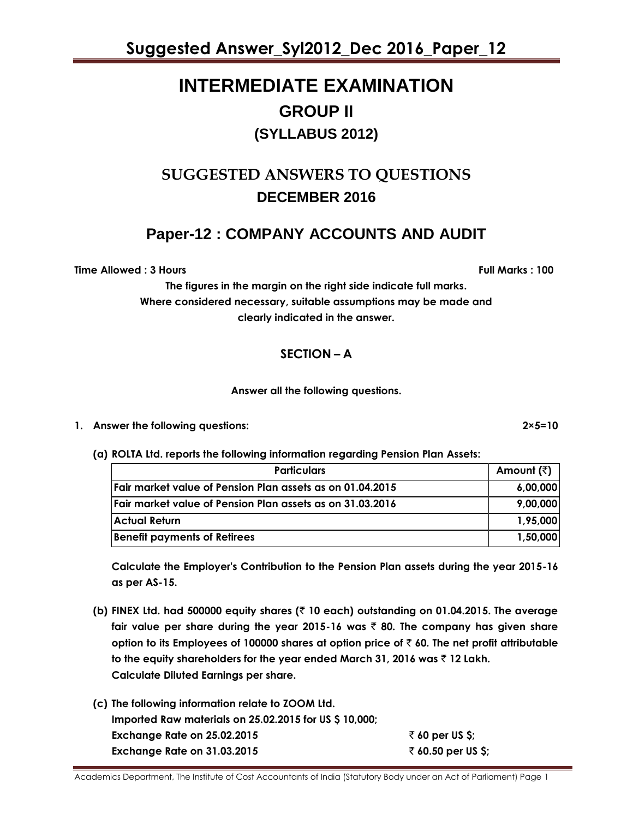# **INTERMEDIATE EXAMINATION GROUP II (SYLLABUS 2012)**

# **SUGGESTED ANSWERS TO QUESTIONS DECEMBER 2016**

# **Paper-12 : COMPANY ACCOUNTS AND AUDIT**

**Time Allowed : 3 Hours Full Marks : 100**

**The figures in the margin on the right side indicate full marks. Where considered necessary, suitable assumptions may be made and clearly indicated in the answer.**

# **SECTION – A**

**Answer all the following questions.**

#### **1. Answer the following questions: 2×5=10**

**(a) ROLTA Ltd. reports the following information regarding Pension Plan Assets:**

| <b>Particulars</b>                                        | Amount (₹) |
|-----------------------------------------------------------|------------|
| Fair market value of Pension Plan assets as on 01.04.2015 | 6,00,000   |
| Fair market value of Pension Plan assets as on 31.03.2016 | 9,00,000   |
| <b>Actual Return</b>                                      | 1,95,000   |
| <b>Benefit payments of Retirees</b>                       | 1,50,000   |

**Calculate the Employer's Contribution to the Pension Plan assets during the year 2015-16 as per AS-15.**

**(b) FINEX Ltd. had 500000 equity shares (**` **10 each) outstanding on 01.04.2015. The average fair value per share during the year 2015-16 was** ` **80. The company has given share option to its Employees of 100000 shares at option price of** ` **60. The net profit attributable to the equity shareholders for the year ended March 31, 2016 was** ` **12 Lakh. Calculate Diluted Earnings per share.**

| (c) The following information relate to ZOOM Ltd.     |                                  |
|-------------------------------------------------------|----------------------------------|
| Imported Raw materials on 25.02.2015 for US \$10,000; |                                  |
| Exchange Rate on 25.02.2015                           | $\bar{\mathcal{J}}$ 60 per US S: |
| Exchange Rate on 31.03.2015                           | ₹ 60.50 per US \$;               |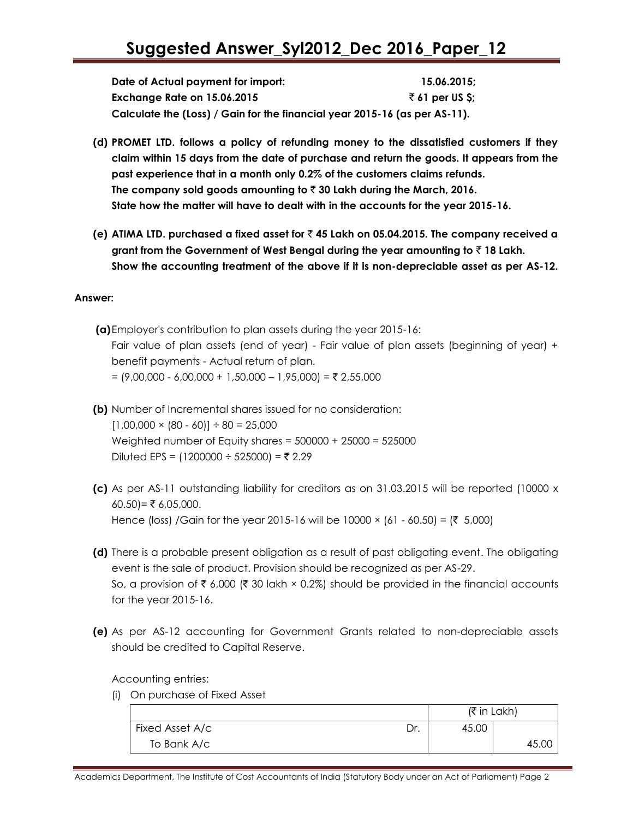**Date of Actual payment for import: 15.06.2015; Exchange Rate on 15.06.2015** *CONDER 61 per US\$;* **Calculate the (Loss) / Gain for the financial year 2015-16 (as per AS-11).**

- **(d) PROMET LTD. follows a policy of refunding money to the dissatisfied customers if they claim within 15 days from the date of purchase and return the goods. It appears from the past experience that in a month only 0.2% of the customers claims refunds. The company sold goods amounting to** ` **30 Lakh during the March, 2016. State how the matter will have to dealt with in the accounts for the year 2015-16.**
- **(e) ATIMA LTD. purchased a fixed asset for** ` **45 Lakh on 05.04.2015. The company received a grant from the Government of West Bengal during the year amounting to** ` **18 Lakh. Show the accounting treatment of the above if it is non-depreciable asset as per AS-12.**

#### **Answer:**

- **(a)**Employer's contribution to plan assets during the year 2015-16: Fair value of plan assets (end of year) - Fair value of plan assets (beginning of year) + benefit payments - Actual return of plan.  $= (9,00,000 - 6,00,000 + 1,50,000 - 1,95,000) = ₹ 2,55,000$
- **(b)** Number of Incremental shares issued for no consideration:  $[1,00,000 \times (80 - 60)] \div 80 = 25,000$ Weighted number of Equity shares =  $500000 + 25000 = 525000$ Diluted EPS =  $(1200000 \div 525000) = ₹ 2.29$
- **(c)** As per AS-11 outstanding liability for creditors as on 31.03.2015 will be reported (10000 x  $60.50$ ) = ₹ 6,05,000. Hence (loss) /Gain for the year 2015-16 will be 10000 × (61 - 60.50) = (₹ 5,000)
- **(d)** There is a probable present obligation as a result of past obligating event. The obligating event is the sale of product. Provision should be recognized as per AS-29. So, a provision of  $\bar{\tau}$  6,000 ( $\bar{\tau}$  30 lakh  $\times$  0.2%) should be provided in the financial accounts for the year 2015-16.
- **(e)** As per AS-12 accounting for Government Grants related to non-depreciable assets should be credited to Capital Reserve.

Accounting entries:

(i) On purchase of Fixed Asset

|                 |     | $(3\overline{5})$ in Lakh) |       |
|-----------------|-----|----------------------------|-------|
| Fixed Asset A/c | Dr. | 45.00                      |       |
| To Bank A/c     |     |                            | 45.00 |

Academics Department, The Institute of Cost Accountants of India (Statutory Body under an Act of Parliament) Page 2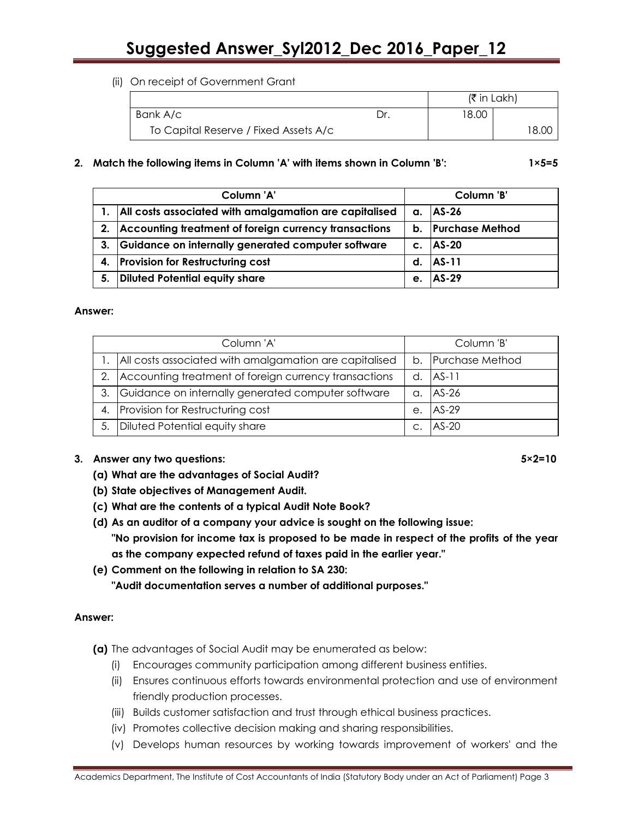(ii) On receipt of Government Grant

|                                       |     | (₹ in Lakh) |      |
|---------------------------------------|-----|-------------|------|
| Bank A/c                              | Dr. | 18.00       |      |
| To Capital Reserve / Fixed Assets A/c |     |             | 8.00 |

# **2. Match the following items in Column 'A' with items shown in Column 'B': 1×5=5**

| Column 'A' |                                                        | Column 'B'     |                    |
|------------|--------------------------------------------------------|----------------|--------------------|
|            | All costs associated with amalgamation are capitalised | α.             | <b>AS-26</b>       |
| 2.         | Accounting treatment of foreign currency transactions  |                | b. Purchase Method |
| 3.         | Guidance on internally generated computer software     | $\mathbf{c}$ . | <b>AS-20</b>       |
| 4.         | <b>Provision for Restructuring cost</b>                | d.             | <b>AS-11</b>       |
| 5.         | Diluted Potential equity share                         | е.             | AS-29              |

#### **Answer:**

| Column 'A' |                                                        |                | Column 'B'      |
|------------|--------------------------------------------------------|----------------|-----------------|
|            | All costs associated with amalgamation are capitalised | b.             | Purchase Method |
| 2.         | Accounting treatment of foreign currency transactions  | d.             | $AS-11$         |
| 3.         | Guidance on internally generated computer software     | $\alpha$ .     | $AS-26$         |
| 4.         | <b>Provision for Restructuring cost</b>                | е.             | $AS-29$         |
| 5.         | Diluted Potential equity share                         | $\mathsf{C}$ . | $AS-20$         |

## **3. Answer any two questions: 5×2=10**

- **(a) What are the advantages of Social Audit?**
- **(b) State objectives of Management Audit.**
- **(c) What are the contents of a typical Audit Note Book?**
- **(d) As an auditor of a company your advice is sought on the following issue: "No provision for income tax is proposed to be made in respect of the profits of the year as the company expected refund of taxes paid in the earlier year."**
- **(e) Comment on the following in relation to SA 230: "Audit documentation serves a number of additional purposes."**

## **Answer:**

- **(a)** The advantages of Social Audit may be enumerated as below:
	- (i) Encourages community participation among different business entities.
	- (ii) Ensures continuous efforts towards environmental protection and use of environment friendly production processes.
	- (iii) Builds customer satisfaction and trust through ethical business practices.
	- (iv) Promotes collective decision making and sharing responsibilities.
	- (v) Develops human resources by working towards improvement of workers' and the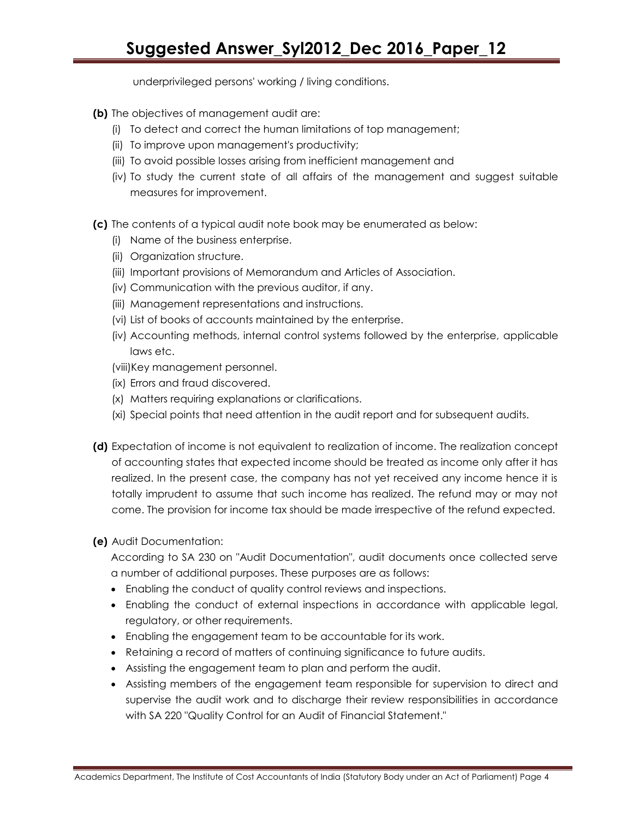underprivileged persons' working / living conditions.

- **(b)** The objectives of management audit are:
	- (i) To detect and correct the human limitations of top management;
	- (ii) To improve upon management's productivity;
	- (iii) To avoid possible losses arising from inefficient management and
	- (iv) To study the current state of all affairs of the management and suggest suitable measures for improvement.
- **(c)** The contents of a typical audit note book may be enumerated as below:
	- (i) Name of the business enterprise.
	- (ii) Organization structure.
	- (iii) Important provisions of Memorandum and Articles of Association.
	- (iv) Communication with the previous auditor, if any.
	- (iii) Management representations and instructions.
	- (vi) List of books of accounts maintained by the enterprise.
	- (iv) Accounting methods, internal control systems followed by the enterprise, applicable laws etc.
	- (viii)Key management personnel.
	- (ix) Errors and fraud discovered.
	- (x) Matters requiring explanations or clarifications.
	- (xi) Special points that need attention in the audit report and for subsequent audits.
- **(d)** Expectation of income is not equivalent to realization of income. The realization concept of accounting states that expected income should be treated as income only after it has realized. In the present case, the company has not yet received any income hence it is totally imprudent to assume that such income has realized. The refund may or may not come. The provision for income tax should be made irrespective of the refund expected.

#### **(e)** Audit Documentation:

According to SA 230 on "Audit Documentation", audit documents once collected serve a number of additional purposes. These purposes are as follows:

- Enabling the conduct of quality control reviews and inspections.
- Enabling the conduct of external inspections in accordance with applicable legal, regulatory, or other requirements.
- Enabling the engagement team to be accountable for its work.
- Retaining a record of matters of continuing significance to future audits.
- Assisting the engagement team to plan and perform the audit.
- Assisting members of the engagement team responsible for supervision to direct and supervise the audit work and to discharge their review responsibilities in accordance with SA 220 "Quality Control for an Audit of Financial Statement."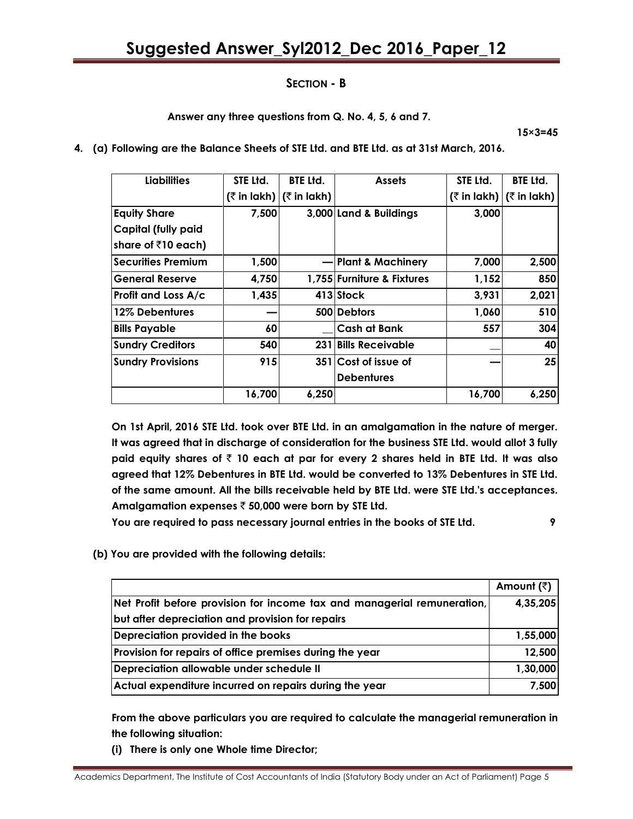# **SECTION - B**

#### **Answer any three questions from Q. No. 4, 5, 6 and 7.**

**15×3=45**

**4. (a) Following are the Balance Sheets of STE Ltd. and BTE Ltd. as at 31st March, 2016.**

| Liabilities                 | STE Ltd.       | <b>BTE Ltd.</b> | <b>Assets</b>              | STE Ltd. | <b>BTE Ltd.</b>                         |
|-----------------------------|----------------|-----------------|----------------------------|----------|-----------------------------------------|
|                             | $($ ₹ in lakh) | $($ ₹ in lakh)  |                            |          | $(\bar{z}$ in lakh) $(\bar{z}$ in lakh) |
| <b>Equity Share</b>         | 7,500          |                 | 3,000 Land & Buildings     | 3,000    |                                         |
| Capital (fully paid         |                |                 |                            |          |                                         |
| share of $\bar{z}$ 10 each) |                |                 |                            |          |                                         |
| <b>Securities Premium</b>   | 1,500          |                 | -Plant & Machinery         | 7,000    | 2,500                                   |
| <b>General Reserve</b>      | 4,750          |                 | 1,755 Furniture & Fixtures | 1,152    | 850                                     |
| <b>Profit and Loss A/c</b>  | 1,435          |                 | 413 Stock                  | 3,931    | 2,021                                   |
| 12% Debentures              |                |                 | 500 Debtors                | 1,060    | 510                                     |
| <b>Bills Payable</b>        | 60             |                 | <b>Cash at Bank</b>        | 557      | 304                                     |
| <b>Sundry Creditors</b>     | 540            | 231             | <b>Bills Receivable</b>    |          | 40                                      |
| <b>Sundry Provisions</b>    | 915            |                 | 351 Cost of issue of       |          | 25                                      |
|                             |                |                 | <b>Debentures</b>          |          |                                         |
|                             | 16,700         | 6,250           |                            | 16,700   | 6,250                                   |

**On 1st April, 2016 STE Ltd. took over BTE Ltd. in an amalgamation in the nature of merger. It was agreed that in discharge of consideration for the business STE Ltd. would allot 3 fully paid equity shares of** ` **10 each at par for every 2 shares held in BTE Ltd. It was also agreed that 12% Debentures in BTE Ltd. would be converted to 13% Debentures in STE Ltd. of the same amount. All the bills receivable held by BTE Ltd. were STE Ltd.'s acceptances. Amalgamation expenses** ` **50,000 were born by STE Ltd.**

**You are required to pass necessary journal entries in the books of STE Ltd. 9**

**(b) You are provided with the following details:**

|                                                                         | Amount $(\bar{z})$ |
|-------------------------------------------------------------------------|--------------------|
| Net Profit before provision for income tax and managerial remuneration, | 4,35,205           |
| but after depreciation and provision for repairs                        |                    |
| Depreciation provided in the books                                      | 1,55,000           |
| Provision for repairs of office premises during the year                | 12,500             |
| Depreciation allowable under schedule II                                | 1,30,000           |
| Actual expenditure incurred on repairs during the year                  | 7,500              |

**From the above particulars you are required to calculate the managerial remuneration in the following situation:**

**(i) There is only one Whole time Director;**

Academics Department, The Institute of Cost Accountants of India (Statutory Body under an Act of Parliament) Page 5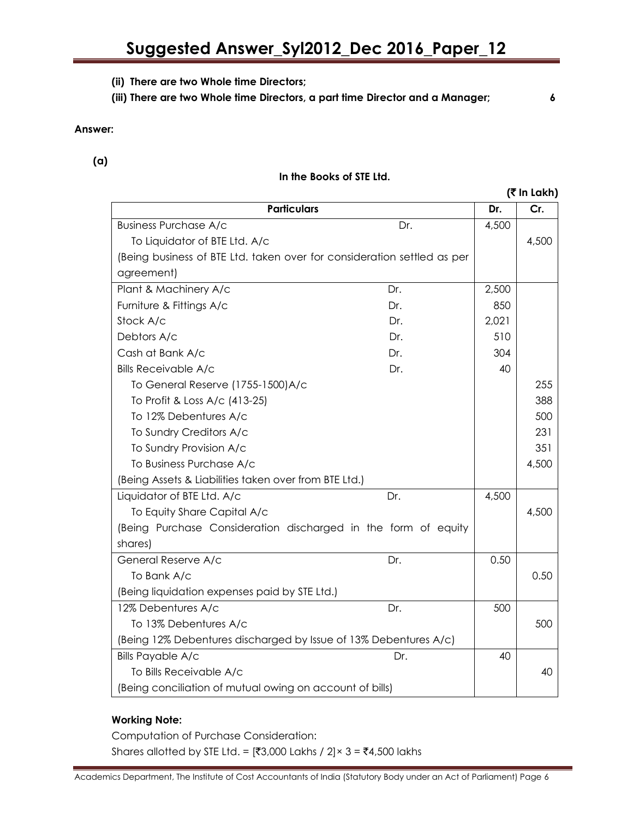- **(ii) There are two Whole time Directors;**
- **(iii) There are two Whole time Directors, a part time Director and a Manager; 6**

**(a)**

# **In the Books of STE Ltd.**

 $($  $\overline{z}$  **In Lakh**)

| <b>Particulars</b>                                                      |     | Dr.   | Cr.   |
|-------------------------------------------------------------------------|-----|-------|-------|
| <b>Business Purchase A/c</b>                                            | Dr. | 4,500 |       |
| To Liquidator of BTE Ltd. A/c                                           |     |       | 4,500 |
| (Being business of BTE Ltd. taken over for consideration settled as per |     |       |       |
| agreement)                                                              |     |       |       |
| Plant & Machinery A/c                                                   | Dr. | 2,500 |       |
| Furniture & Fittings A/c                                                | Dr. | 850   |       |
| Stock A/c                                                               | Dr. | 2,021 |       |
| Debtors A/c                                                             | Dr. | 510   |       |
| Cash at Bank A/c                                                        | Dr. | 304   |       |
| <b>Bills Receivable A/c</b>                                             | Dr. | 40    |       |
| To General Reserve (1755-1500) A/c                                      |     |       | 255   |
| To Profit & Loss A/c (413-25)                                           |     |       | 388   |
| To 12% Debentures A/c                                                   |     |       | 500   |
| To Sundry Creditors A/c                                                 |     |       | 231   |
| To Sundry Provision A/c                                                 |     |       | 351   |
| To Business Purchase A/c                                                |     |       | 4,500 |
| (Being Assets & Liabilities taken over from BTE Ltd.)                   |     |       |       |
| Liquidator of BTE Ltd. A/c                                              | Dr. | 4,500 |       |
| To Equity Share Capital A/c                                             |     |       | 4,500 |
| (Being Purchase Consideration discharged in the form of equity          |     |       |       |
| shares)                                                                 |     |       |       |
| General Reserve A/c                                                     | Dr. | 0.50  |       |
| To Bank A/c                                                             |     |       | 0.50  |
| (Being liquidation expenses paid by STE Ltd.)                           |     |       |       |
| 12% Debentures A/c                                                      | Dr. | 500   |       |
| To 13% Debentures A/c                                                   |     |       | 500   |
| (Being 12% Debentures discharged by Issue of 13% Debentures A/c)        |     |       |       |
| <b>Bills Payable A/c</b>                                                | Dr. | 40    |       |
| To Bills Receivable A/c                                                 |     |       | 40    |
| (Being conciliation of mutual owing on account of bills)                |     |       |       |

### **Working Note:**

Computation of Purchase Consideration: Shares allotted by STE Ltd. = [₹3,000 Lakhs / 2]× 3 = ₹4,500 lakhs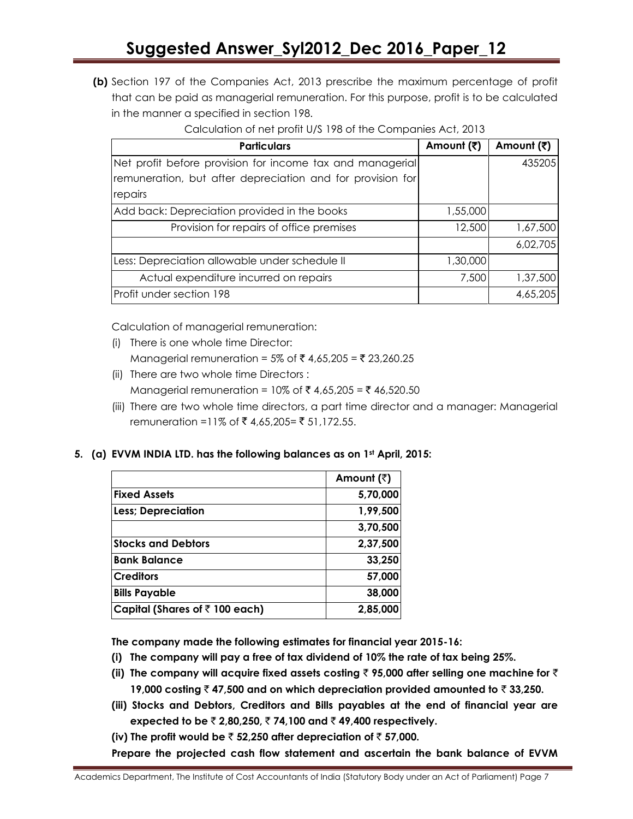**(b)** Section 197 of the Companies Act, 2013 prescribe the maximum percentage of profit that can be paid as managerial remuneration. For this purpose, profit is to be calculated in the manner a specified in section 198.

| <b>Particulars</b>                                         | Amount (₹) | Amount (₹) |
|------------------------------------------------------------|------------|------------|
| Net profit before provision for income tax and managerial  |            | 435205     |
| remuneration, but after depreciation and for provision for |            |            |
| repairs                                                    |            |            |
| Add back: Depreciation provided in the books               | 1,55,000   |            |
| Provision for repairs of office premises                   | 12,500     | 1,67,500   |
|                                                            |            | 6,02,705   |
| Less: Depreciation allowable under schedule II             | 1,30,000   |            |
| Actual expenditure incurred on repairs                     | 7,500      | 1,37,500   |
| Profit under section 198                                   |            | 4,65,205   |

Calculation of net profit U/S 198 of the Companies Act, 2013

Calculation of managerial remuneration:

(i) There is one whole time Director:

Managerial remuneration = 5% of ₹ 4,65,205 = ₹ 23,260.25

- (ii) There are two whole time Directors : Managerial remuneration = 10% of ₹4,65,205 = ₹46,520.50
- (iii) There are two whole time directors, a part time director and a manager: Managerial remuneration =11% of ₹4,65,205= ₹51,172.55.

## **5. (a) EVVM INDIA LTD. has the following balances as on 1st April, 2015:**

|                                        | Amount (₹) |
|----------------------------------------|------------|
| <b>Fixed Assets</b>                    | 5,70,000   |
| <b>Less</b> ; Depreciation             | 1,99,500   |
|                                        | 3,70,500   |
| <b>Stocks and Debtors</b>              | 2,37,500   |
| <b>Bank Balance</b>                    | 33,250     |
| <b>Creditors</b>                       | 57,000     |
| <b>Bills Payable</b>                   | 38,000     |
| Capital (Shares of $\bar{z}$ 100 each) | 2,85,000   |

**The company made the following estimates for financial year 2015-16:**

- **(i) The company will pay a free of tax dividend of 10% the rate of tax being 25%.**
- **(ii) The company will acquire fixed assets costing** ` **95,000 after selling one machine for** ` **19,000 costing ₹47,500 and on which depreciation provided amounted to ₹33,250.**
- **(iii) Stocks and Debtors, Creditors and Bills payables at the end of financial year are expected to be** ` **2,80,250,** ` **74,100 and** ` **49,400 respectively.**
- (iv) The profit would be  $\bar{\tau}$  52,250 after depreciation of  $\bar{\tau}$  57,000.

**Prepare the projected cash flow statement and ascertain the bank balance of EVVM**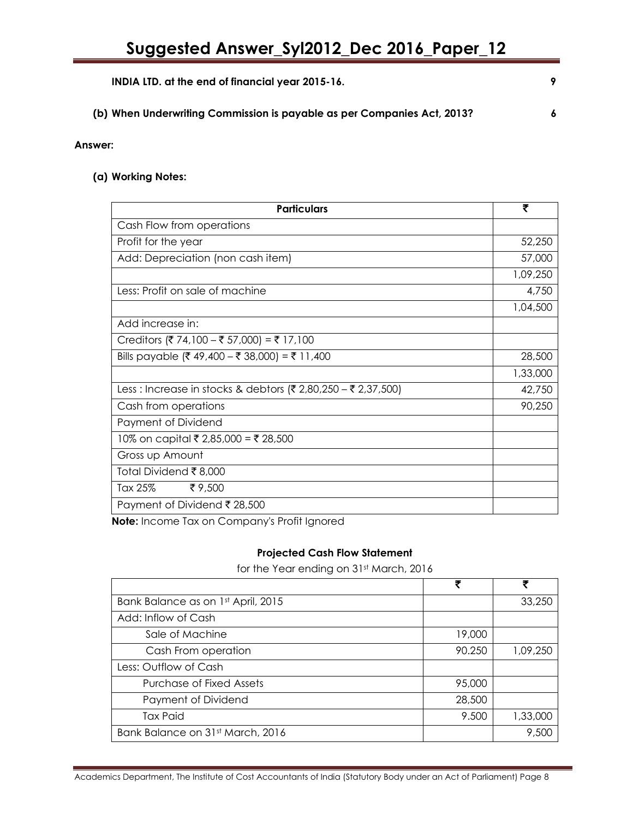| INDIA LTD. at the end of financial year 2015-16.                        |  |
|-------------------------------------------------------------------------|--|
| (b) When Underwriting Commission is payable as per Companies Act, 2013? |  |

### **(a) Working Notes:**

| <b>Particulars</b>                                            | ₹        |
|---------------------------------------------------------------|----------|
| Cash Flow from operations                                     |          |
| Profit for the year                                           | 52,250   |
| Add: Depreciation (non cash item)                             | 57,000   |
|                                                               | 1,09,250 |
| Less: Profit on sale of machine                               | 4,750    |
|                                                               | 1,04,500 |
| Add increase in:                                              |          |
| Creditors (₹ 74,100 – ₹ 57,000) = ₹ 17,100                    |          |
| Bills payable (₹ 49,400 – ₹ 38,000) = ₹ 11,400                | 28,500   |
|                                                               | 1,33,000 |
| Less : Increase in stocks & debtors (₹ 2,80,250 – ₹ 2,37,500) | 42,750   |
| Cash from operations                                          | 90,250   |
| Payment of Dividend                                           |          |
| 10% on capital ₹ 2,85,000 = ₹ 28,500                          |          |
| Gross up Amount                                               |          |
| Total Dividend ₹8,000                                         |          |
| Tax 25%<br>₹9,500                                             |          |
| Payment of Dividend ₹ 28,500                                  |          |

**Note:** Income Tax on Company's Profit Ignored

# **Projected Cash Flow Statement**

for the Year ending on 31st March, 2016

|                                    | ₹      |          |
|------------------------------------|--------|----------|
| Bank Balance as on 1st April, 2015 |        | 33,250   |
| Add: Inflow of Cash                |        |          |
| Sale of Machine                    | 19,000 |          |
| Cash From operation                | 90.250 | 1,09,250 |
| Less: Outflow of Cash              |        |          |
| Purchase of Fixed Assets           | 95,000 |          |
| Payment of Dividend                | 28,500 |          |
| Tax Paid                           | 9.500  | 1,33,000 |
| Bank Balance on 31st March, 2016   |        | 9,500    |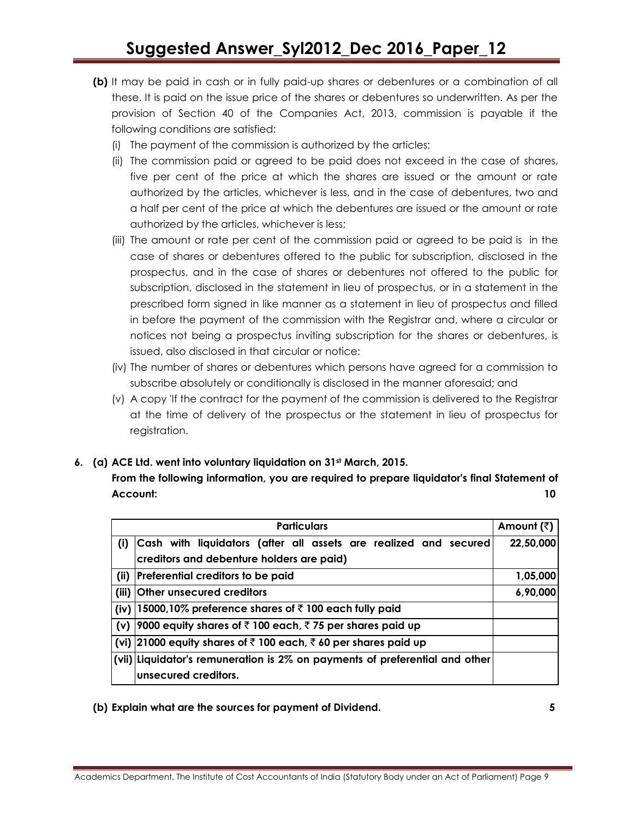- **(b)** It may be paid in cash or in fully paid-up shares or debentures or a combination of all these. It is paid on the issue price of the shares or debentures so underwritten. As per the provision of Section 40 of the Companies Act, 2013, commission is payable if the following conditions are satisfied:
	- (i) The payment of the commission is authorized by the articles;
	- (ii) The commission paid or agreed to be paid does not exceed in the case of shares, five per cent of the price at which the shares are issued or the amount or rate authorized by the articles, whichever is less, and in the case of debentures, two and a half per cent of the price at which the debentures are issued or the amount or rate authorized by the articles, whichever is less;
	- (iii) The amount or rate per cent of the commission paid or agreed to be paid is in the case of shares or debentures offered to the public for subscription, disclosed in the prospectus, and in the case of shares or debentures not offered to the public for subscription, disclosed in the statement in lieu of prospectus, or in a statement in the prescribed form signed in like manner as a statement in lieu of prospectus and filled in before the payment of the commission with the Registrar and, where a circular or notices not being a prospectus inviting subscription for the shares or debentures, is issued, also disclosed in that circular or notice:
	- (iv) The number of shares or debentures which persons have agreed for a commission to subscribe absolutely or conditionally is disclosed in the manner aforesaid; and
	- (v) A copy 'If the contract for the payment of the commission is delivered to the Registrar at the time of delivery of the prospectus or the statement in lieu of prospectus for registration.

#### **6. (a) ACE Ltd. went into voluntary liquidation on 31st March, 2015.**

# **From the following information, you are required to prepare liquidator's final Statement of Account: 10**

|       | <b>Particulars</b>                                                                    | Amount (₹) |
|-------|---------------------------------------------------------------------------------------|------------|
| (i)   | Cash with liquidators (after all assets are realized and secured                      | 22,50,000  |
|       | creditors and debenture holders are paid)                                             |            |
| (ii)  | <b>Preferential creditors to be paid</b>                                              | 1,05,000   |
| (iii) | <b>Other unsecured creditors</b>                                                      | 6,90,000   |
|       | (iv)   15000, 10% preference shares of $\bar{z}$ 100 each fully paid                  |            |
|       | (v)  9000 equity shares of $\bar{\tau}$ 100 each, $\bar{\tau}$ 75 per shares paid up  |            |
|       | (vi) 21000 equity shares of $\bar{\tau}$ 100 each, $\bar{\tau}$ 60 per shares paid up |            |
|       | (vii) Liquidator's remuneration is 2% on payments of preferential and other           |            |
|       | unsecured creditors.                                                                  |            |

**(b) Explain what are the sources for payment of Dividend. 5**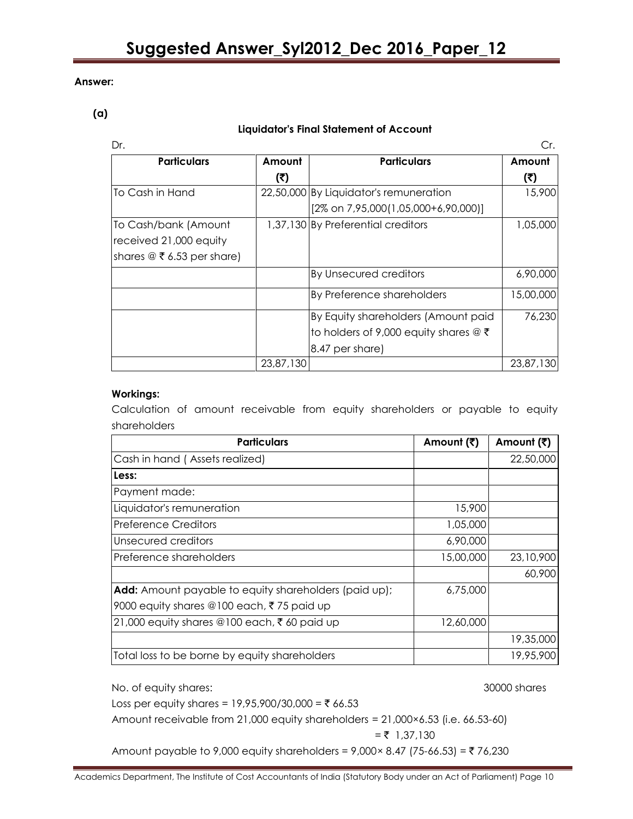**(a)** 

#### **Liquidator's Final Statement of Account**

| Dr.                            |           |                                               | Cr.       |
|--------------------------------|-----------|-----------------------------------------------|-----------|
| <b>Particulars</b>             | Amount    | <b>Particulars</b>                            | Amount    |
|                                | (5)       |                                               | (5)       |
| To Cash in Hand                |           | 22,50,000 By Liquidator's remuneration        | 15,900    |
|                                |           | [2% on 7,95,000(1,05,000+6,90,000)]           |           |
| To Cash/bank (Amount           |           | 1,37,130 By Preferential creditors            | 1,05,000  |
| received 21,000 equity         |           |                                               |           |
| shares $@ \xi 6.53$ per share) |           |                                               |           |
|                                |           | By Unsecured creditors                        | 6,90,000  |
|                                |           | By Preference shareholders                    | 15,00,000 |
|                                |           | By Equity shareholders (Amount paid           | 76,230    |
|                                |           | to holders of 9,000 equity shares $@ \bar{z}$ |           |
|                                |           | 8.47 per share)                               |           |
|                                | 23,87,130 |                                               | 23,87,130 |

### **Workings:**

Calculation of amount receivable from equity shareholders or payable to equity shareholders

| <b>Particulars</b>                                           | Amount (₹) | Amount (そ) |
|--------------------------------------------------------------|------------|------------|
| Cash in hand (Assets realized)                               |            | 22,50,000  |
| Less:                                                        |            |            |
| Payment made:                                                |            |            |
| Liquidator's remuneration                                    | 15,900     |            |
| <b>Preference Creditors</b>                                  | 1,05,000   |            |
| Unsecured creditors                                          | 6,90,000   |            |
| Preference shareholders                                      | 15,00,000  | 23,10,900  |
|                                                              |            | 60,900     |
| <b>Add:</b> Amount payable to equity shareholders (paid up); | 6,75,000   |            |
| 9000 equity shares @100 each, $\bar{\tau}$ 75 paid up        |            |            |
| 21,000 equity shares @100 each, ₹60 paid up                  | 12,60,000  |            |
|                                                              |            | 19,35,000  |
| Total loss to be borne by equity shareholders                |            | 19,95,900  |

No. of equity shares: 30000 shares

Loss per equity shares = 19,95,900/30,000 = ₹ 66.53

Amount receivable from 21,000 equity shareholders = 21,000×6.53 (i.e. 66.53-60)

$$
=
$$
  $\bar{z}$  1,37,130

Amount payable to 9,000 equity shareholders = 9,000 × 8.47 (75-66.53) =  $\bar{\tau}$  76,230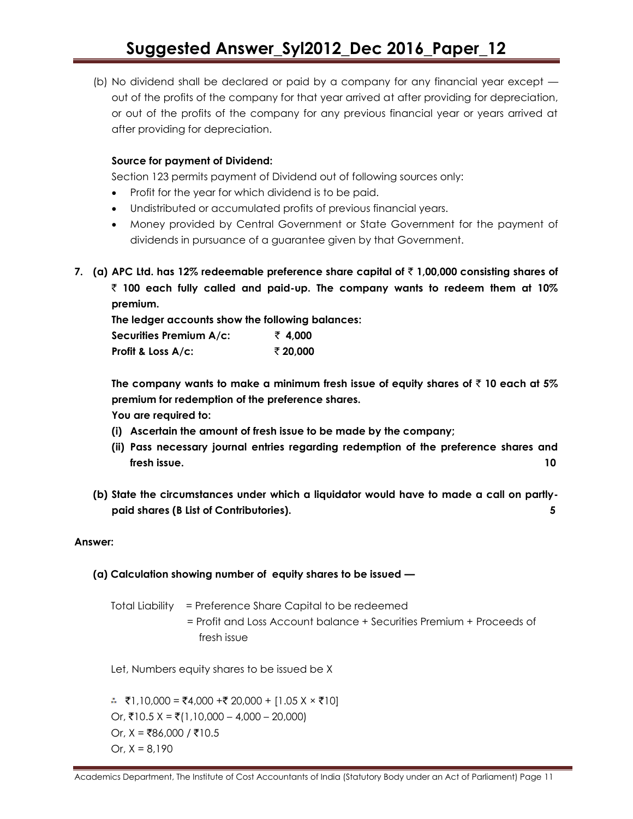(b) No dividend shall be declared or paid by a company for any financial year except out of the profits of the company for that year arrived at after providing for depreciation, or out of the profits of the company for any previous financial year or years arrived at after providing for depreciation.

#### **Source for payment of Dividend:**

Section 123 permits payment of Dividend out of following sources only:

- Profit for the year for which dividend is to be paid.
- Undistributed or accumulated profits of previous financial years.
- Money provided by Central Government or State Government for the payment of dividends in pursuance of a guarantee given by that Government.
- **7. (a) APC Ltd. has 12% redeemable preference share capital of** ` **1,00,000 consisting shares of**  ` **100 each fully called and paid-up. The company wants to redeem them at 10% premium.**

**The ledger accounts show the following balances:**

| Securities Premium A/c: | ₹4.000   |
|-------------------------|----------|
| Profit & Loss $A/c$ :   | ₹ 20.000 |

The company wants to make a minimum fresh issue of equity shares of  $\bar{z}$  10 each at 5% **premium for redemption of the preference shares.**

**You are required to:**

- **(i) Ascertain the amount of fresh issue to be made by the company;**
- **(ii) Pass necessary journal entries regarding redemption of the preference shares and fresh issue. 10**
- **(b) State the circumstances under which a liquidator would have to made a call on partlypaid shares (B List of Contributories). 5**

#### **Answer:**

#### **(a) Calculation showing number of equity shares to be issued —**

Total Liability = Preference Share Capital to be redeemed

= Profit and Loss Account balance + Securities Premium + Proceeds of fresh issue

Let, Numbers equity shares to be issued be X

 $\cdot$  ₹1,10,000 = ₹4,000 +₹ 20,000 + [1.05 X × ₹10] Or, ₹10.5 X = ₹(1,10,000 – 4,000 – 20,000) Or,  $X = ₹86,000 / ₹10.5$ Or,  $X = 8,190$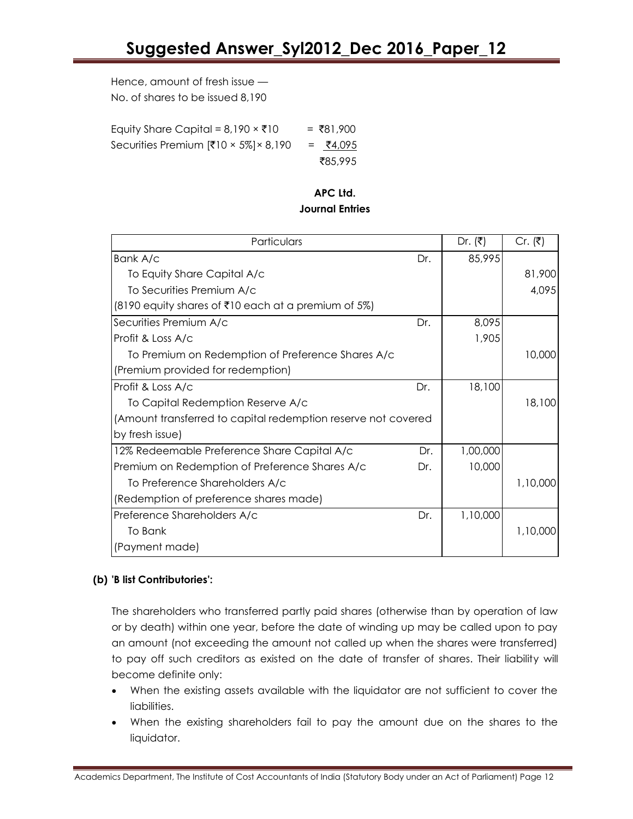Hence, amount of fresh issue — No. of shares to be issued 8,190

| Equity Share Capital = $8,190 \times \overline{5}10$ | $= ₹81,900$ |
|------------------------------------------------------|-------------|
| Securities Premium $[₹10 × 5%] × 8,190$              | = ₹4,095    |
|                                                      | ₹85,995     |

#### **APC Ltd. Journal Entries**

| Particulars                                                   |     | Dr. $(₹)$ | Cr. $( ₹)$ |
|---------------------------------------------------------------|-----|-----------|------------|
| Bank A/c                                                      | Dr. | 85,995    |            |
| To Equity Share Capital A/c                                   |     |           | 81,900     |
| To Securities Premium A/c                                     |     |           | 4,095      |
| $(8190$ equity shares of ₹10 each at a premium of 5%)         |     |           |            |
| Securities Premium A/c                                        | Dr. | 8,095     |            |
| Profit & Loss A/c                                             |     | 1,905     |            |
| To Premium on Redemption of Preference Shares A/c             |     |           | 10,000     |
| (Premium provided for redemption)                             |     |           |            |
| Profit & Loss A/c                                             | Dr. | 18,100    |            |
| To Capital Redemption Reserve A/c                             |     |           | 18,100     |
| (Amount transferred to capital redemption reserve not covered |     |           |            |
| by fresh issue)                                               |     |           |            |
| 12% Redeemable Preference Share Capital A/c                   | Dr. | 1,00,000  |            |
| Premium on Redemption of Preference Shares A/c                | Dr. | 10,000    |            |
| To Preference Shareholders A/c                                |     |           | 1,10,000   |
| (Redemption of preference shares made)                        |     |           |            |
| Preference Shareholders A/c                                   | Dr. | 1,10,000  |            |
| To Bank                                                       |     |           | 1,10,000   |
| (Payment made)                                                |     |           |            |

## **(b) 'B list Contributories':**

The shareholders who transferred partly paid shares (otherwise than by operation of law or by death) within one year, before the date of winding up may be called upon to pay an amount (not exceeding the amount not called up when the shares were transferred) to pay off such creditors as existed on the date of transfer of shares. Their liability will become definite only:

- When the existing assets available with the liquidator are not sufficient to cover the liabilities.
- When the existing shareholders fail to pay the amount due on the shares to the liquidator.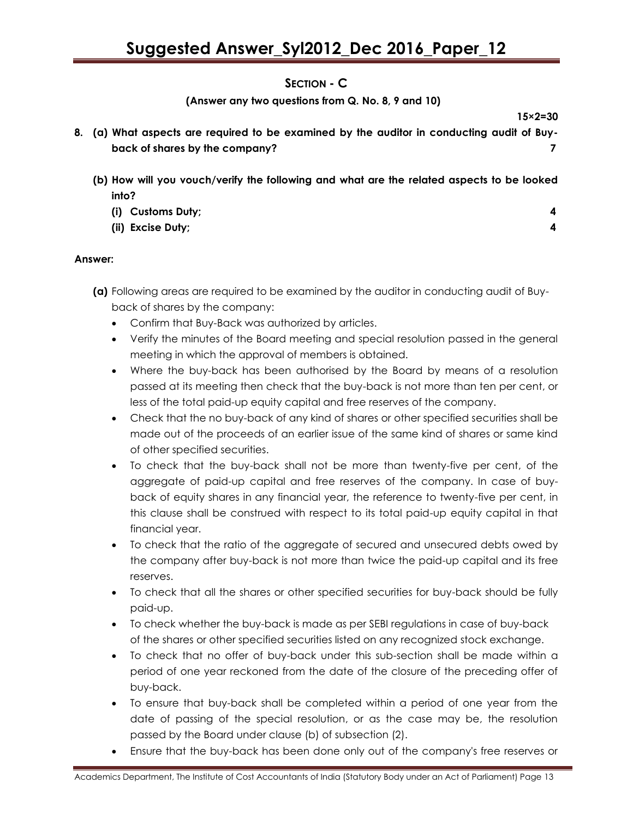# **SECTION - C**

**(Answer any two questions from Q. No. 8, 9 and 10)**

**15×2=30**

- **8. (a) What aspects are required to be examined by the auditor in conducting audit of Buyback of shares by the company? 7**
	- **(b) How will you vouch/verify the following and what are the related aspects to be looked into?**

| (i) Customs Duty; |  |
|-------------------|--|
| (ii) Excise Duty; |  |

## **Answer:**

- **(a)** Following areas are required to be examined by the auditor in conducting audit of Buyback of shares by the company:
	- Confirm that Buy-Back was authorized by articles.
	- Verify the minutes of the Board meeting and special resolution passed in the general meeting in which the approval of members is obtained.
	- Where the buy-back has been authorised by the Board by means of a resolution passed at its meeting then check that the buy-back is not more than ten per cent, or less of the total paid-up equity capital and free reserves of the company.
	- Check that the no buy-back of any kind of shares or other specified securities shall be made out of the proceeds of an earlier issue of the same kind of shares or same kind of other specified securities.
	- To check that the buy-back shall not be more than twenty-five per cent, of the aggregate of paid-up capital and free reserves of the company. In case of buyback of equity shares in any financial year, the reference to twenty-five per cent, in this clause shall be construed with respect to its total paid-up equity capital in that financial year.
	- To check that the ratio of the aggregate of secured and unsecured debts owed by the company after buy-back is not more than twice the paid-up capital and its free reserves.
	- To check that all the shares or other specified securities for buy-back should be fully paid-up.
	- To check whether the buy-back is made as per SEBI regulations in case of buy-back of the shares or other specified securities listed on any recognized stock exchange.
	- To check that no offer of buy-back under this sub-section shall be made within a period of one year reckoned from the date of the closure of the preceding offer of buy-back.
	- To ensure that buy-back shall be completed within a period of one year from the date of passing of the special resolution, or as the case may be, the resolution passed by the Board under clause (b) of subsection (2).
	- Ensure that the buy-back has been done only out of the company's free reserves or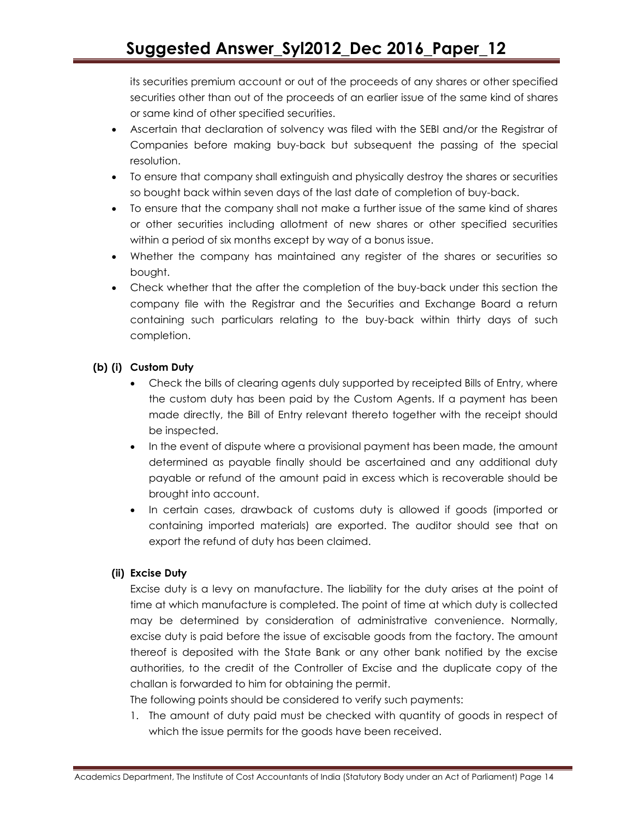its securities premium account or out of the proceeds of any shares or other specified securities other than out of the proceeds of an earlier issue of the same kind of shares or same kind of other specified securities.

- Ascertain that declaration of solvency was filed with the SEBI and/or the Registrar of Companies before making buy-back but subsequent the passing of the special resolution.
- To ensure that company shall extinguish and physically destroy the shares or securities so bought back within seven days of the last date of completion of buy-back.
- To ensure that the company shall not make a further issue of the same kind of shares or other securities including allotment of new shares or other specified securities within a period of six months except by way of a bonus issue.
- Whether the company has maintained any register of the shares or securities so bought.
- Check whether that the after the completion of the buy-back under this section the company file with the Registrar and the Securities and Exchange Board a return containing such particulars relating to the buy-back within thirty days of such completion.

# **(b) (i) Custom Duty**

- Check the bills of clearing agents duly supported by receipted Bills of Entry, where the custom duty has been paid by the Custom Agents. If a payment has been made directly, the Bill of Entry relevant thereto together with the receipt should be inspected.
- In the event of dispute where a provisional payment has been made, the amount determined as payable finally should be ascertained and any additional duty payable or refund of the amount paid in excess which is recoverable should be brought into account.
- In certain cases, drawback of customs duty is allowed if goods (imported or containing imported materials) are exported. The auditor should see that on export the refund of duty has been claimed.

## **(ii) Excise Duty**

Excise duty is a levy on manufacture. The liability for the duty arises at the point of time at which manufacture is completed. The point of time at which duty is collected may be determined by consideration of administrative convenience. Normally, excise duty is paid before the issue of excisable goods from the factory. The amount thereof is deposited with the State Bank or any other bank notified by the excise authorities, to the credit of the Controller of Excise and the duplicate copy of the challan is forwarded to him for obtaining the permit.

The following points should be considered to verify such payments:

1. The amount of duty paid must be checked with quantity of goods in respect of which the issue permits for the goods have been received.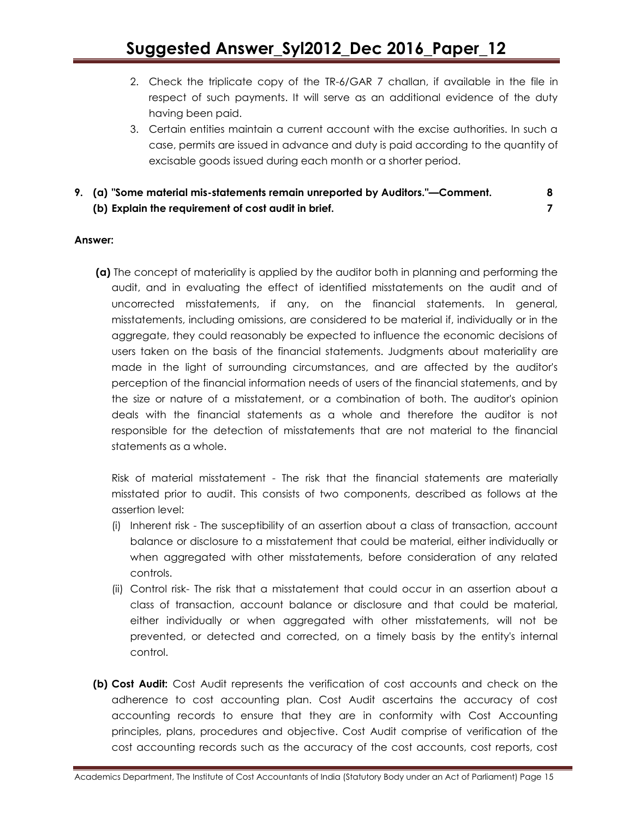- 2. Check the triplicate copy of the TR-6/GAR 7 challan, if available in the file in respect of such payments. It will serve as an additional evidence of the duty having been paid.
- 3. Certain entities maintain a current account with the excise authorities. In such a case, permits are issued in advance and duty is paid according to the quantity of excisable goods issued during each month or a shorter period.
- **9. (a) "Some material mis-statements remain unreported by Auditors."—Comment. 8 (b) Explain the requirement of cost audit in brief. 7**

**(a)** The concept of materiality is applied by the auditor both in planning and performing the audit, and in evaluating the effect of identified misstatements on the audit and of uncorrected misstatements, if any, on the financial statements. In general, misstatements, including omissions, are considered to be material if, individually or in the aggregate, they could reasonably be expected to influence the economic decisions of users taken on the basis of the financial statements. Judgments about materiality are made in the light of surrounding circumstances, and are affected by the auditor's perception of the financial information needs of users of the financial statements, and by the size or nature of a misstatement, or a combination of both. The auditor's opinion deals with the financial statements as a whole and therefore the auditor is not responsible for the detection of misstatements that are not material to the financial statements as a whole.

Risk of material misstatement - The risk that the financial statements are materially misstated prior to audit. This consists of two components, described as follows at the assertion level:

- (i) Inherent risk The susceptibility of an assertion about a class of transaction, account balance or disclosure to a misstatement that could be material, either individually or when aggregated with other misstatements, before consideration of any related controls.
- (ii) Control risk- The risk that a misstatement that could occur in an assertion about a class of transaction, account balance or disclosure and that could be material, either individually or when aggregated with other misstatements, will not be prevented, or detected and corrected, on a timely basis by the entity's internal control.
- **(b) Cost Audit:** Cost Audit represents the verification of cost accounts and check on the adherence to cost accounting plan. Cost Audit ascertains the accuracy of cost accounting records to ensure that they are in conformity with Cost Accounting principles, plans, procedures and objective. Cost Audit comprise of verification of the cost accounting records such as the accuracy of the cost accounts, cost reports, cost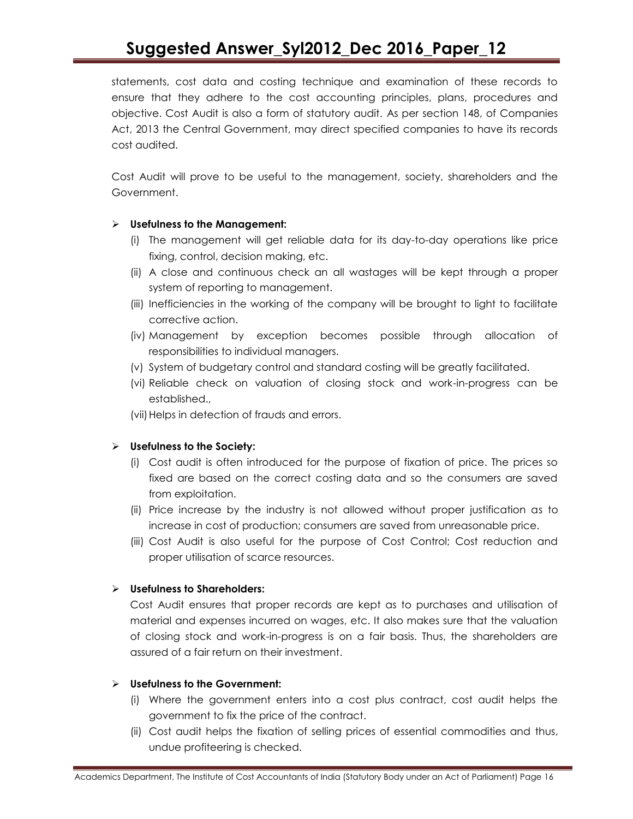statements, cost data and costing technique and examination of these records to ensure that they adhere to the cost accounting principles, plans, procedures and objective. Cost Audit is also a form of statutory audit. As per section 148, of Companies Act, 2013 the Central Government, may direct specified companies to have its records cost audited.

Cost Audit will prove to be useful to the management, society, shareholders and the Government.

#### **Usefulness to the Management:**

- (i) The management will get reliable data for its day-to-day operations like price fixing, control, decision making, etc.
- (ii) A close and continuous check an all wastages will be kept through a proper system of reporting to management.
- (iii) Inefficiencies in the working of the company will be brought to light to facilitate corrective action.
- (iv) Management by exception becomes possible through allocation of responsibilities to individual managers.
- (v) System of budgetary control and standard costing will be greatly facilitated.
- (vi) Reliable check on valuation of closing stock and work-in-progress can be established.,
- (vii)Helps in detection of frauds and errors.

## **Usefulness to the Society:**

- (i) Cost audit is often introduced for the purpose of fixation of price. The prices so fixed are based on the correct costing data and so the consumers are saved from exploitation.
- (ii) Price increase by the industry is not allowed without proper justification as to increase in cost of production; consumers are saved from unreasonable price.
- (iii) Cost Audit is also useful for the purpose of Cost Control; Cost reduction and proper utilisation of scarce resources.

## **Usefulness to Shareholders:**

Cost Audit ensures that proper records are kept as to purchases and utilisation of material and expenses incurred on wages, etc. It also makes sure that the valuation of closing stock and work-in-progress is on a fair basis. Thus, the shareholders are assured of a fair return on their investment.

#### **Usefulness to the Government:**

- (i) Where the government enters into a cost plus contract, cost audit helps the government to fix the price of the contract.
- (ii) Cost audit helps the fixation of selling prices of essential commodities and thus, undue profiteering is checked.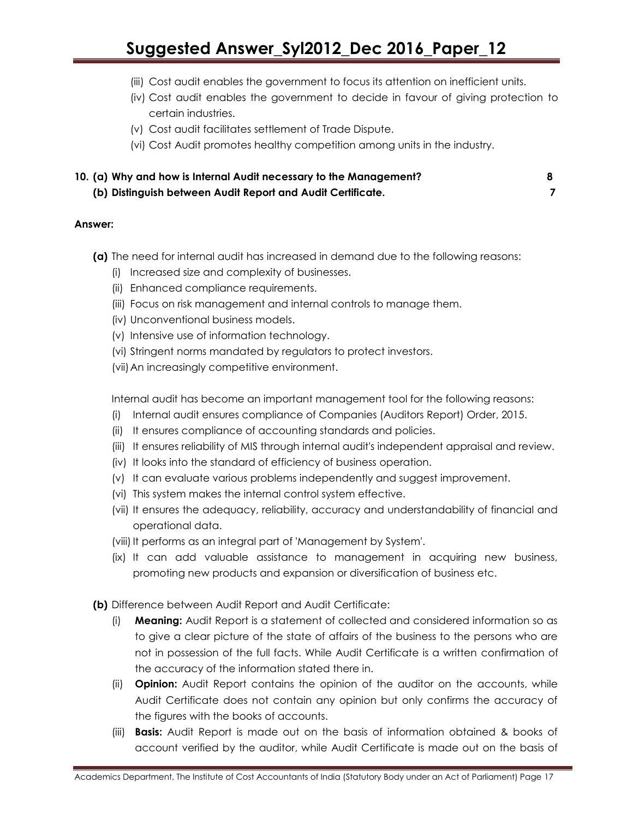- (iii) Cost audit enables the government to focus its attention on inefficient units.
- (iv) Cost audit enables the government to decide in favour of giving protection to certain industries.
- (v) Cost audit facilitates settlement of Trade Dispute.
- (vi) Cost Audit promotes healthy competition among units in the industry.

# **10. (a) Why and how is Internal Audit necessary to the Management? 8 (b) Distinguish between Audit Report and Audit Certificate. 7**

#### **Answer:**

- **(a)** The need for internal audit has increased in demand due to the following reasons:
	- (i) Increased size and complexity of businesses.
	- (ii) Enhanced compliance requirements.
	- (iii) Focus on risk management and internal controls to manage them.
	- (iv) Unconventional business models.
	- (v) Intensive use of information technology.
	- (vi) Stringent norms mandated by regulators to protect investors.
	- (vii)An increasingly competitive environment.

Internal audit has become an important management tool for the following reasons:

- (i) Internal audit ensures compliance of Companies (Auditors Report) Order, 2015.
- (ii) It ensures compliance of accounting standards and policies.
- (iii) It ensures reliability of MIS through internal audit's independent appraisal and review.
- (iv) It looks into the standard of efficiency of business operation.
- (v) It can evaluate various problems independently and suggest improvement.
- (vi) This system makes the internal control system effective.
- (vii) It ensures the adequacy, reliability, accuracy and understandability of financial and operational data.
- (viii) It performs as an integral part of 'Management by System'.
- (ix) It can add valuable assistance to management in acquiring new business, promoting new products and expansion or diversification of business etc.
- **(b)** Difference between Audit Report and Audit Certificate:
	- (i) **Meaning:** Audit Report is a statement of collected and considered information so as to give a clear picture of the state of affairs of the business to the persons who are not in possession of the full facts. While Audit Certificate is a written confirmation of the accuracy of the information stated there in.
	- (ii) **Opinion:** Audit Report contains the opinion of the auditor on the accounts, while Audit Certificate does not contain any opinion but only confirms the accuracy of the figures with the books of accounts.
	- (iii) **Basis:** Audit Report is made out on the basis of information obtained & books of account verified by the auditor, while Audit Certificate is made out on the basis of